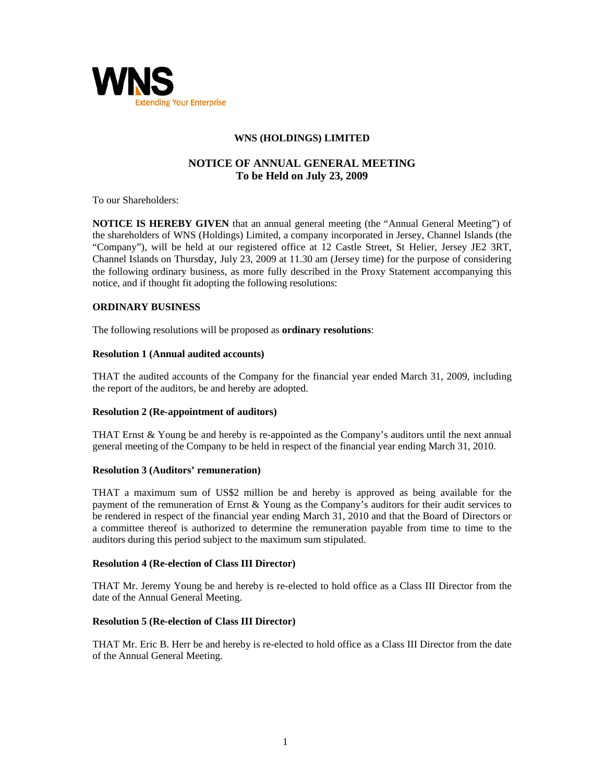

# **WNS (HOLDINGS) LIMITED**

# **NOTICE OF ANNUAL GENERAL MEETING To be Held on July 23, 2009**

To our Shareholders:

**NOTICE IS HEREBY GIVEN** that an annual general meeting (the "Annual General Meeting") of the shareholders of WNS (Holdings) Limited, a company incorporated in Jersey, Channel Islands (the "Company"), will be held at our registered office at 12 Castle Street, St Helier, Jersey JE2 3RT, Channel Islands on Thursday, July 23, 2009 at 11.30 am (Jersey time) for the purpose of considering the following ordinary business, as more fully described in the Proxy Statement accompanying this notice, and if thought fit adopting the following resolutions:

# **ORDINARY BUSINESS**

The following resolutions will be proposed as **ordinary resolutions**:

### **Resolution 1 (Annual audited accounts)**

THAT the audited accounts of the Company for the financial year ended March 31, 2009, including the report of the auditors, be and hereby are adopted.

## **Resolution 2 (Re-appointment of auditors)**

THAT Ernst & Young be and hereby is re-appointed as the Company's auditors until the next annual general meeting of the Company to be held in respect of the financial year ending March 31, 2010.

## **Resolution 3 (Auditors' remuneration)**

THAT a maximum sum of US\$2 million be and hereby is approved as being available for the payment of the remuneration of Ernst & Young as the Company's auditors for their audit services to be rendered in respect of the financial year ending March 31, 2010 and that the Board of Directors or a committee thereof is authorized to determine the remuneration payable from time to time to the auditors during this period subject to the maximum sum stipulated.

#### **Resolution 4 (Re-election of Class III Director)**

THAT Mr. Jeremy Young be and hereby is re-elected to hold office as a Class III Director from the date of the Annual General Meeting.

#### **Resolution 5 (Re-election of Class III Director)**

THAT Mr. Eric B. Herr be and hereby is re-elected to hold office as a Class III Director from the date of the Annual General Meeting.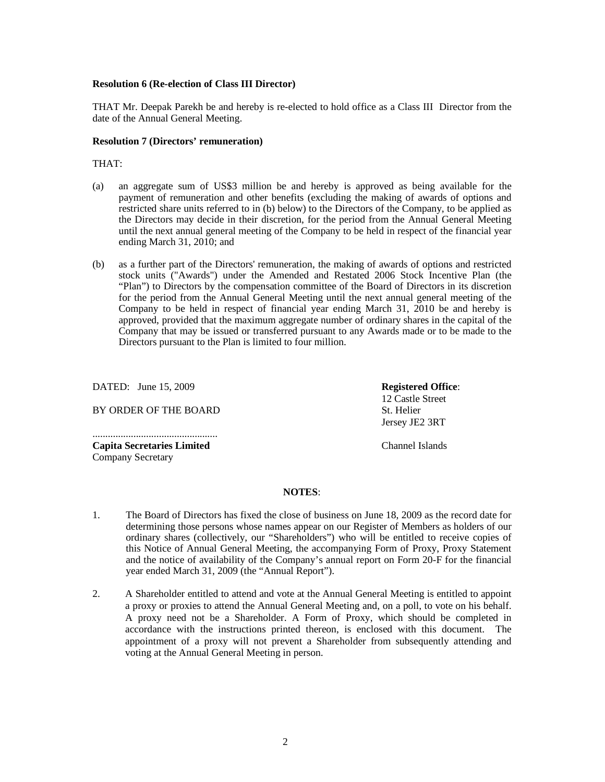### **Resolution 6 (Re-election of Class III Director)**

THAT Mr. Deepak Parekh be and hereby is re-elected to hold office as a Class III Director from the date of the Annual General Meeting.

#### **Resolution 7 (Directors' remuneration)**

THAT:

- (a) an aggregate sum of US\$3 million be and hereby is approved as being available for the payment of remuneration and other benefits (excluding the making of awards of options and restricted share units referred to in (b) below) to the Directors of the Company, to be applied as the Directors may decide in their discretion, for the period from the Annual General Meeting until the next annual general meeting of the Company to be held in respect of the financial year ending March 31, 2010; and
- (b) as a further part of the Directors' remuneration, the making of awards of options and restricted stock units ("Awards") under the Amended and Restated 2006 Stock Incentive Plan (the "Plan") to Directors by the compensation committee of the Board of Directors in its discretion for the period from the Annual General Meeting until the next annual general meeting of the Company to be held in respect of financial year ending March 31, 2010 be and hereby is approved, provided that the maximum aggregate number of ordinary shares in the capital of the Company that may be issued or transferred pursuant to any Awards made or to be made to the Directors pursuant to the Plan is limited to four million.

DATED: June 15, 2009

BY ORDER OF THE BOARD

................................................. **Capita Secretaries Limited**  Company Secretary

**Registered Office**: 12 Castle Street St. Helier Jersey JE2 3RT

Channel Islands

### **NOTES**:

- 1. The Board of Directors has fixed the close of business on June 18, 2009 as the record date for determining those persons whose names appear on our Register of Members as holders of our ordinary shares (collectively, our "Shareholders") who will be entitled to receive copies of this Notice of Annual General Meeting, the accompanying Form of Proxy, Proxy Statement and the notice of availability of the Company's annual report on Form 20-F for the financial year ended March 31, 2009 (the "Annual Report").
- 2. A Shareholder entitled to attend and vote at the Annual General Meeting is entitled to appoint a proxy or proxies to attend the Annual General Meeting and, on a poll, to vote on his behalf. A proxy need not be a Shareholder. A Form of Proxy, which should be completed in accordance with the instructions printed thereon, is enclosed with this document. The appointment of a proxy will not prevent a Shareholder from subsequently attending and voting at the Annual General Meeting in person.